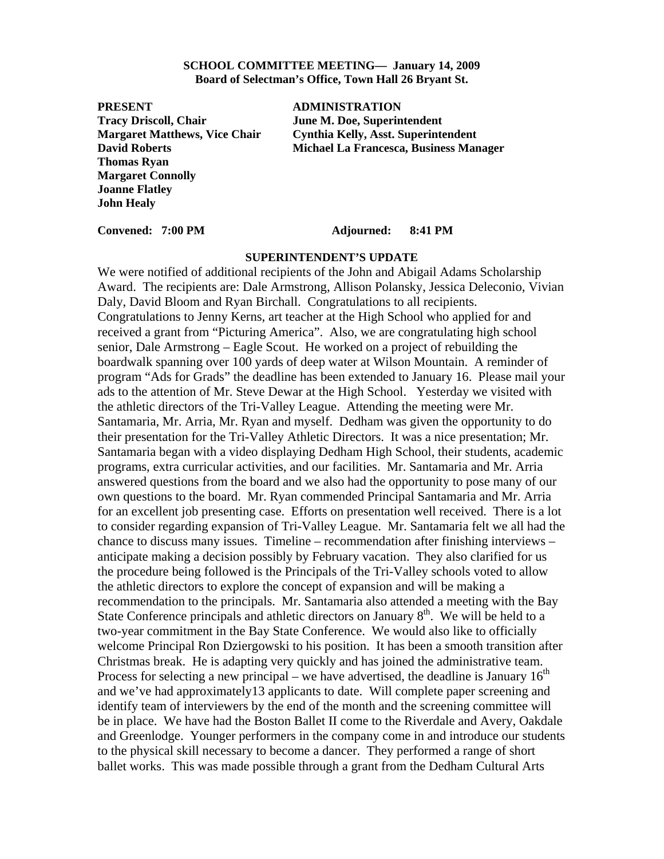### **SCHOOL COMMITTEE MEETING— January 14, 2009 Board of Selectman's Office, Town Hall 26 Bryant St.**

**PRESENT ADMINISTRATION Tracy Driscoll, Chair June M. Doe, Superintendent Thomas Ryan Margaret Connolly Joanne Flatley John Healy** 

**Margaret Matthews, Vice Chair Cynthia Kelly, Asst. Superintendent David Roberts Michael La Francesca, Business Manager** 

### **Convened: 7:00 PM Adjourned: 8:41 PM**

### **SUPERINTENDENT'S UPDATE**

We were notified of additional recipients of the John and Abigail Adams Scholarship Award. The recipients are: Dale Armstrong, Allison Polansky, Jessica Deleconio, Vivian Daly, David Bloom and Ryan Birchall. Congratulations to all recipients. Congratulations to Jenny Kerns, art teacher at the High School who applied for and received a grant from "Picturing America". Also, we are congratulating high school senior, Dale Armstrong – Eagle Scout. He worked on a project of rebuilding the boardwalk spanning over 100 yards of deep water at Wilson Mountain. A reminder of program "Ads for Grads" the deadline has been extended to January 16. Please mail your ads to the attention of Mr. Steve Dewar at the High School. Yesterday we visited with the athletic directors of the Tri-Valley League. Attending the meeting were Mr. Santamaria, Mr. Arria, Mr. Ryan and myself. Dedham was given the opportunity to do their presentation for the Tri-Valley Athletic Directors. It was a nice presentation; Mr. Santamaria began with a video displaying Dedham High School, their students, academic programs, extra curricular activities, and our facilities. Mr. Santamaria and Mr. Arria answered questions from the board and we also had the opportunity to pose many of our own questions to the board. Mr. Ryan commended Principal Santamaria and Mr. Arria for an excellent job presenting case. Efforts on presentation well received. There is a lot to consider regarding expansion of Tri-Valley League. Mr. Santamaria felt we all had the chance to discuss many issues. Timeline – recommendation after finishing interviews – anticipate making a decision possibly by February vacation. They also clarified for us the procedure being followed is the Principals of the Tri-Valley schools voted to allow the athletic directors to explore the concept of expansion and will be making a recommendation to the principals. Mr. Santamaria also attended a meeting with the Bay State Conference principals and athletic directors on January  $8<sup>th</sup>$ . We will be held to a two-year commitment in the Bay State Conference. We would also like to officially welcome Principal Ron Dziergowski to his position. It has been a smooth transition after Christmas break. He is adapting very quickly and has joined the administrative team. Process for selecting a new principal – we have advertised, the deadline is January  $16<sup>th</sup>$ and we've had approximately13 applicants to date. Will complete paper screening and identify team of interviewers by the end of the month and the screening committee will be in place. We have had the Boston Ballet II come to the Riverdale and Avery, Oakdale and Greenlodge. Younger performers in the company come in and introduce our students to the physical skill necessary to become a dancer. They performed a range of short ballet works. This was made possible through a grant from the Dedham Cultural Arts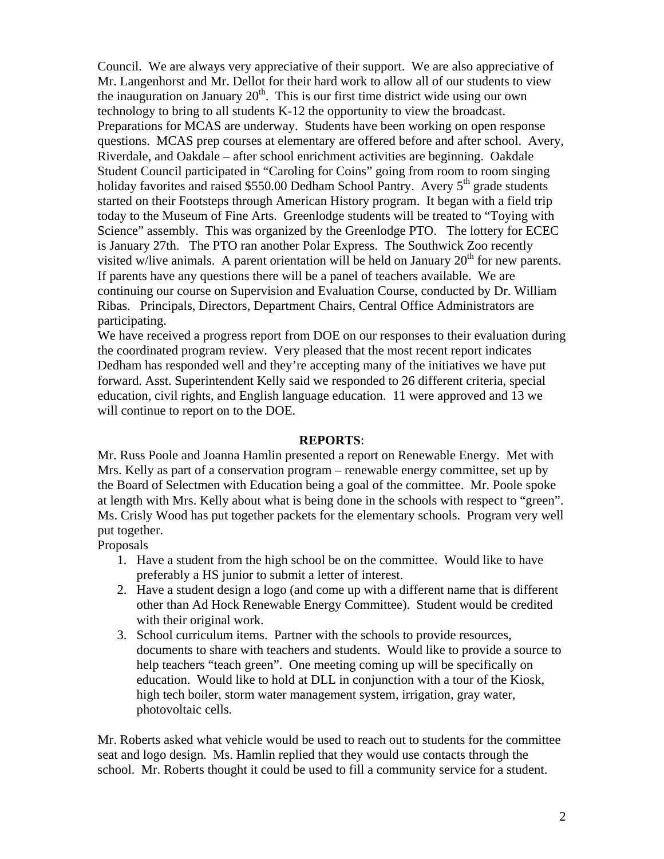Council. We are always very appreciative of their support. We are also appreciative of Mr. Langenhorst and Mr. Dellot for their hard work to allow all of our students to view the inauguration on January  $20<sup>th</sup>$ . This is our first time district wide using our own technology to bring to all students K-12 the opportunity to view the broadcast. Preparations for MCAS are underway. Students have been working on open response questions. MCAS prep courses at elementary are offered before and after school. Avery, Riverdale, and Oakdale – after school enrichment activities are beginning. Oakdale Student Council participated in "Caroling for Coins" going from room to room singing holiday favorites and raised \$550.00 Dedham School Pantry. Avery  $5<sup>th</sup>$  grade students started on their Footsteps through American History program. It began with a field trip today to the Museum of Fine Arts. Greenlodge students will be treated to "Toying with Science" assembly. This was organized by the Greenlodge PTO. The lottery for ECEC is January 27th. The PTO ran another Polar Express. The Southwick Zoo recently visited w/live animals. A parent orientation will be held on January  $20<sup>th</sup>$  for new parents. If parents have any questions there will be a panel of teachers available. We are continuing our course on Supervision and Evaluation Course, conducted by Dr. William Ribas. Principals, Directors, Department Chairs, Central Office Administrators are participating.

We have received a progress report from DOE on our responses to their evaluation during the coordinated program review. Very pleased that the most recent report indicates Dedham has responded well and they're accepting many of the initiatives we have put forward. Asst. Superintendent Kelly said we responded to 26 different criteria, special education, civil rights, and English language education. 11 were approved and 13 we will continue to report on to the DOE.

# **REPORTS**:

Mr. Russ Poole and Joanna Hamlin presented a report on Renewable Energy. Met with Mrs. Kelly as part of a conservation program – renewable energy committee, set up by the Board of Selectmen with Education being a goal of the committee. Mr. Poole spoke at length with Mrs. Kelly about what is being done in the schools with respect to "green". Ms. Crisly Wood has put together packets for the elementary schools. Program very well put together.

Proposals

- 1. Have a student from the high school be on the committee. Would like to have preferably a HS junior to submit a letter of interest.
- 2. Have a student design a logo (and come up with a different name that is different other than Ad Hock Renewable Energy Committee). Student would be credited with their original work.
- 3. School curriculum items. Partner with the schools to provide resources, documents to share with teachers and students. Would like to provide a source to help teachers "teach green". One meeting coming up will be specifically on education. Would like to hold at DLL in conjunction with a tour of the Kiosk, high tech boiler, storm water management system, irrigation, gray water, photovoltaic cells.

Mr. Roberts asked what vehicle would be used to reach out to students for the committee seat and logo design. Ms. Hamlin replied that they would use contacts through the school. Mr. Roberts thought it could be used to fill a community service for a student.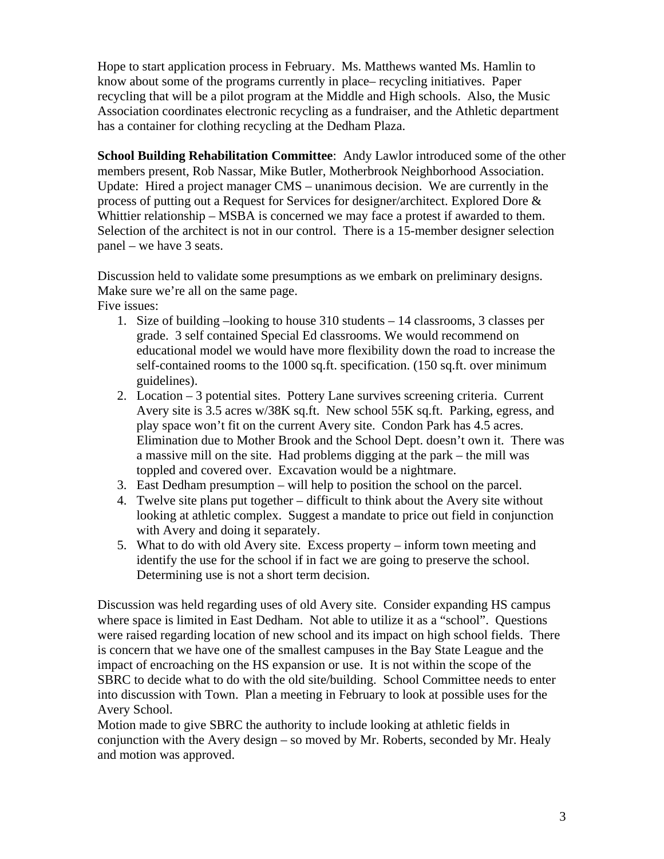Hope to start application process in February. Ms. Matthews wanted Ms. Hamlin to know about some of the programs currently in place– recycling initiatives. Paper recycling that will be a pilot program at the Middle and High schools. Also, the Music Association coordinates electronic recycling as a fundraiser, and the Athletic department has a container for clothing recycling at the Dedham Plaza.

**School Building Rehabilitation Committee**: Andy Lawlor introduced some of the other members present, Rob Nassar, Mike Butler, Motherbrook Neighborhood Association. Update: Hired a project manager CMS – unanimous decision. We are currently in the process of putting out a Request for Services for designer/architect. Explored Dore & Whittier relationship – MSBA is concerned we may face a protest if awarded to them. Selection of the architect is not in our control. There is a 15-member designer selection panel – we have 3 seats.

Discussion held to validate some presumptions as we embark on preliminary designs. Make sure we're all on the same page.

Five issues:

- 1. Size of building –looking to house 310 students 14 classrooms, 3 classes per grade. 3 self contained Special Ed classrooms. We would recommend on educational model we would have more flexibility down the road to increase the self-contained rooms to the 1000 sq.ft. specification. (150 sq.ft. over minimum guidelines).
- 2. Location 3 potential sites. Pottery Lane survives screening criteria. Current Avery site is 3.5 acres w/38K sq.ft. New school 55K sq.ft. Parking, egress, and play space won't fit on the current Avery site. Condon Park has 4.5 acres. Elimination due to Mother Brook and the School Dept. doesn't own it. There was a massive mill on the site. Had problems digging at the park – the mill was toppled and covered over. Excavation would be a nightmare.
- 3. East Dedham presumption will help to position the school on the parcel.
- 4. Twelve site plans put together difficult to think about the Avery site without looking at athletic complex. Suggest a mandate to price out field in conjunction with Avery and doing it separately.
- 5. What to do with old Avery site. Excess property inform town meeting and identify the use for the school if in fact we are going to preserve the school. Determining use is not a short term decision.

Discussion was held regarding uses of old Avery site. Consider expanding HS campus where space is limited in East Dedham. Not able to utilize it as a "school". Questions were raised regarding location of new school and its impact on high school fields. There is concern that we have one of the smallest campuses in the Bay State League and the impact of encroaching on the HS expansion or use. It is not within the scope of the SBRC to decide what to do with the old site/building. School Committee needs to enter into discussion with Town. Plan a meeting in February to look at possible uses for the Avery School.

Motion made to give SBRC the authority to include looking at athletic fields in conjunction with the Avery design – so moved by Mr. Roberts, seconded by Mr. Healy and motion was approved.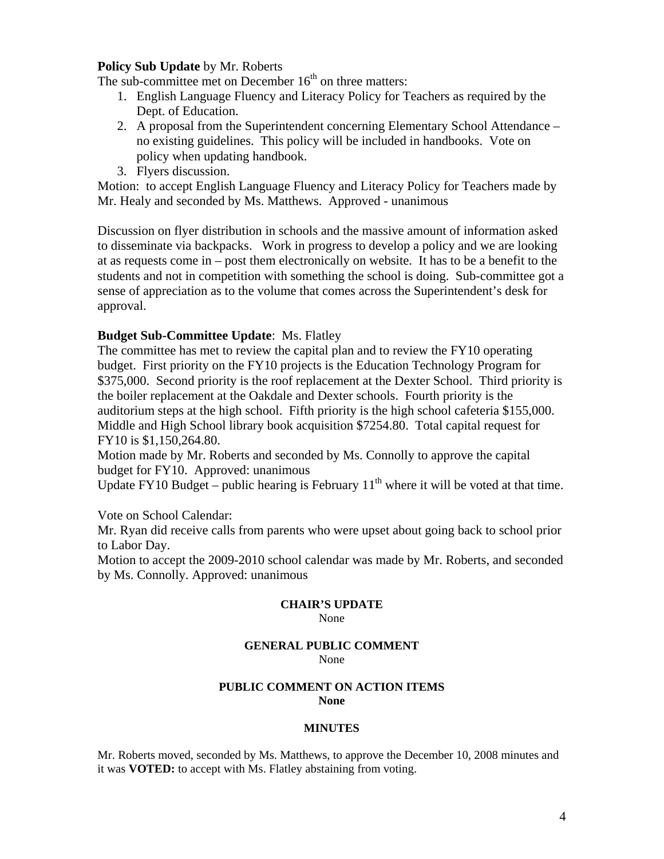# **Policy Sub Update** by Mr. Roberts

The sub-committee met on December  $16<sup>th</sup>$  on three matters:

- 1. English Language Fluency and Literacy Policy for Teachers as required by the Dept. of Education.
- 2. A proposal from the Superintendent concerning Elementary School Attendance no existing guidelines. This policy will be included in handbooks. Vote on policy when updating handbook.
- 3. Flyers discussion.

Motion: to accept English Language Fluency and Literacy Policy for Teachers made by Mr. Healy and seconded by Ms. Matthews. Approved - unanimous

Discussion on flyer distribution in schools and the massive amount of information asked to disseminate via backpacks. Work in progress to develop a policy and we are looking at as requests come in – post them electronically on website. It has to be a benefit to the students and not in competition with something the school is doing. Sub-committee got a sense of appreciation as to the volume that comes across the Superintendent's desk for approval.

# **Budget Sub-Committee Update**: Ms. Flatley

The committee has met to review the capital plan and to review the FY10 operating budget. First priority on the FY10 projects is the Education Technology Program for \$375,000. Second priority is the roof replacement at the Dexter School. Third priority is the boiler replacement at the Oakdale and Dexter schools. Fourth priority is the auditorium steps at the high school. Fifth priority is the high school cafeteria \$155,000. Middle and High School library book acquisition \$7254.80. Total capital request for FY10 is \$1,150,264.80.

Motion made by Mr. Roberts and seconded by Ms. Connolly to approve the capital budget for FY10. Approved: unanimous

Update FY10 Budget – public hearing is February  $11<sup>th</sup>$  where it will be voted at that time.

Vote on School Calendar:

Mr. Ryan did receive calls from parents who were upset about going back to school prior to Labor Day.

Motion to accept the 2009-2010 school calendar was made by Mr. Roberts, and seconded by Ms. Connolly. Approved: unanimous

## **CHAIR'S UPDATE**

None

#### **GENERAL PUBLIC COMMENT** None

## **PUBLIC COMMENT ON ACTION ITEMS None**

## **MINUTES**

Mr. Roberts moved, seconded by Ms. Matthews, to approve the December 10, 2008 minutes and it was **VOTED:** to accept with Ms. Flatley abstaining from voting.